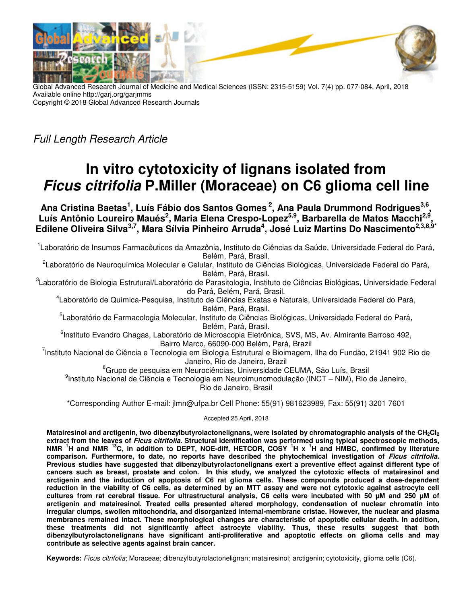

Global Advanced Research Journal of Medicine and Medical Sciences (ISSN: 2315-5159) Vol. 7(4) pp. 077-084, April, 2018 Available online http://garj.org/garjmms Copyright © 2018 Global Advanced Research Journals

Full Length Research Article

# **In vitro cytotoxicity of lignans isolated from Ficus citrifolia P.Miller (Moraceae) on C6 glioma cell line**

**Ana Cristina Baetas<sup>1</sup> , Luís Fábio dos Santos Gomes<sup>2</sup>, Ana Paula Drummond Rodrigues3,6 ,**  Luís Antônio Loureiro Maués<sup>2</sup>, Maria Elena Crespo-Lopez<sup>5,9</sup>, Barbarella de Matos Macchi<sup>2,9</sup>, **Edilene Oliveira Silva3,7, Mara Sílvia Pinheiro Arruda<sup>4</sup> , José Luiz Martins Do Nascimento2,3,8,9\*** 

<sup>1</sup>Laboratório de Insumos Farmacêuticos da Amazônia, Instituto de Ciências da Saúde, Universidade Federal do Pará, Belém, Pará, Brasil.

<sup>2</sup>Laboratório de Neuroquímica Molecular e Celular, Instituto de Ciências Biológicas, Universidade Federal do Pará, Belém, Pará, Brasil.

<sup>3</sup>Laboratório de Biologia Estrutural/Laboratório de Parasitologia, Instituto de Ciências Biológicas, Universidade Federal do Pará, Belém, Pará, Brasil.

4 Laboratório de Química-Pesquisa, Instituto de Ciências Exatas e Naturais, Universidade Federal do Pará, Belém, Pará, Brasil.

<sup>5</sup>Laboratório de Farmacologia Molecular, Instituto de Ciências Biológicas, Universidade Federal do Pará, Belém, Pará, Brasil.

<sup>6</sup>Instituto Evandro Chagas, Laboratório de Microscopia Eletrônica, SVS, MS, Av. Almirante Barroso 492, Bairro Marco, 66090-000 Belém, Pará, Brazil

<sup>7</sup>Instituto Nacional de Ciência e Tecnologia em Biologia Estrutural e Bioimagem, Ilha do Fundão, 21941 902 Rio de Janeiro, Rio de Janeiro, Brazil

<sup>8</sup>Grupo de pesquisa em Neurociências, Universidade CEUMA, São Luís, Brasil 9 Instituto Nacional de Ciência e Tecnologia em Neuroimunomodulação (INCT – NIM), Rio de Janeiro, Rio de Janeiro, Brasil

\*Corresponding Author E-mail: jlmn@ufpa.br Cell Phone: 55(91) 981623989, Fax: 55(91) 3201 7601

Accepted 25 April, 2018

**Matairesinol and arctigenin, two dibenzylbutyrolactonelignans, were isolated by chromatographic analysis of the CH2Cl<sup>2</sup> extract from the leaves of Ficus citrifolia. Structural identification was performed using typical spectroscopic methods, NMR <sup>1</sup>H and NMR <sup>13</sup>C, in addition to DEPT, NOE-diff, HETCOR, COSY <sup>1</sup>H x <sup>1</sup>H and HMBC, confirmed by literature comparison. Furthermore, to date, no reports have described the phytochemical investigation of Ficus citrifolia. Previous studies have suggested that dibenzylbutyrolactonelignans exert a preventive effect against different type of cancers such as breast, prostate and colon. In this study, we analyzed the cytotoxic effects of matairesinol and arctigenin and the induction of apoptosis of C6 rat glioma cells. These compounds produced a dose-dependent reduction in the viability of C6 cells, as determined by an MTT assay and were not cytotoxic against astrocyte cell cultures from rat cerebral tissue. For ultrastructural analysis, C6 cells were incubated with 50 µM and 250 µM of arctigenin and matairesinol. Treated cells presented altered morphology, condensation of nuclear chromatin into irregular clumps, swollen mitochondria, and disorganized internal-membrane cristae. However, the nuclear and plasma membranes remained intact. These morphological changes are characteristic of apoptotic cellular death. In addition, these treatments did not significantly affect astrocyte viability. Thus, these results suggest that both dibenzylbutyrolactonelignans have significant anti-proliferative and apoptotic effects on glioma cells and may contribute as selective agents against brain cancer.** 

**Keywords:** Ficus citrifolia; Moraceae; dibenzylbutyrolactonelignan; matairesinol; arctigenin; cytotoxicity, glioma cells (C6).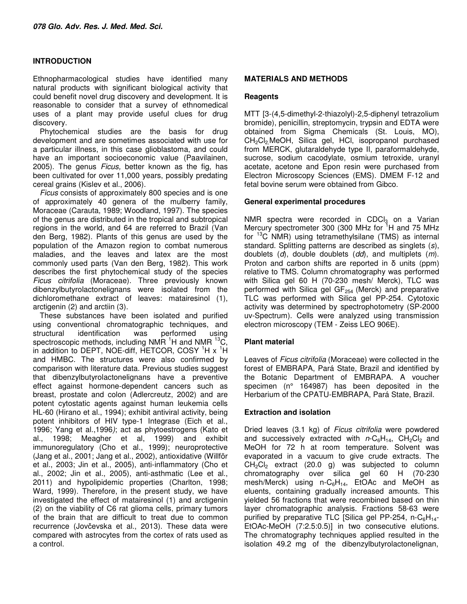# **INTRODUCTION**

Ethnopharmacological studies have identified many natural products with significant biological activity that could benefit novel drug discovery and development. It is reasonable to consider that a survey of ethnomedical uses of a plant may provide useful clues for drug discovery.

Phytochemical studies are the basis for drug development and are sometimes associated with use for a particular illness, in this case glioblastoma, and could have an important socioeconomic value (Paavilainen, 2005). The genus Ficus, better known as the fig, has been cultivated for over 11,000 years, possibly predating cereal grains (Kislev et al., 2006).

Ficus consists of approximately 800 species and is one of approximately 40 genera of the mulberry family, Moraceae (Carauta, 1989; Woodland, 1997). The species of the genus are distributed in the tropical and subtropical regions in the world, and 64 are referred to Brazil (Van den Berg, 1982). Plants of this genus are used by the population of the Amazon region to combat numerous maladies, and the leaves and latex are the most commonly used parts (Van den Berg, 1982). This work describes the first phytochemical study of the species Ficus citrifolia (Moraceae). Three previously known dibenzylbutyrolactonelignans were isolated from the dichloromethane extract of leaves: matairesinol (1), arctigenin (2) and arctiin (3).

These substances have been isolated and purified using conventional chromatographic techniques, and structural identification was performed using spectroscopic methods, including NMR  $^{1}$ H and NMR  $^{13}$ C, in addition to DEPT, NOE-diff, HETCOR, COSY  ${}^{1}H$  x  ${}^{1}H$ and HMBC. The structures were also confirmed by comparison with literature data. Previous studies suggest that dibenzylbutyrolactonelignans have a preventive effect against hormone-dependent cancers such as breast, prostate and colon (Adlercreutz, 2002) and are potent cytostatic agents against human leukemia cells HL-60 (Hirano et al., 1994); exhibit antiviral activity, being potent inhibitors of HIV type-1 Integrase (Eich et al., 1996; Yang et al.,1996); act as phytoestrogens (Kato et al., 1998; Meagher et al, 1999) and exhibit immunoregulatory (Cho et al., 1999); neuroprotective (Jang et al., 2001; Jang et al., 2002), antioxidative (Willför et al., 2003; Jin et al., 2005), anti-inflammatory (Cho et al., 2002; Jin et al., 2005), anti-asthmatic (Lee et al., 2011) and hypolipidemic properties (Charlton, 1998; Ward, 1999). Therefore, in the present study, we have investigated the effect of matairesinol (1) and arctigenin (2) on the viability of C6 rat glioma cells, primary tumors of the brain that are difficult to treat due to common recurrence (Jovčevska et al., 2013). These data were compared with astrocytes from the cortex of rats used as a control.

#### **MATERIALS AND METHODS**

#### **Reagents**

MTT [3-(4,5-dimethyl-2-thiazolyl)-2,5-diphenyl tetrazolium bromide), penicillin, streptomycin, trypsin and EDTA were obtained from Sigma Chemicals (St. Louis, MO), CH<sub>2</sub>Cl<sub>2</sub> MeOH, Silica gel, HCl, isopropanol purchased from MERCK, glutaraldehyde type II, paraformaldehyde, sucrose, sodium cacodylate, osmium tetroxide, uranyl acetate, acetone and Epon resin were purchased from Electron Microscopy Sciences (EMS). DMEM F-12 and fetal bovine serum were obtained from Gibco.

## **General experimental procedures**

NMR spectra were recorded in CDC $I_3$  on a Varian Mercury spectrometer 300 (300 MHz for  ${}^{1}$ H and 75 MHz for <sup>13</sup>C NMR) using tetramethylsilane (TMS) as internal standard. Splitting patterns are described as singlets (s), doublets  $(d)$ , double doublets  $(dd)$ , and multiplets  $(m)$ . Proton and carbon shifts are reported in δ units (ppm) relative to TMS. Column chromatography was performed with Silica gel 60 H (70-230 mesh/ Merck), TLC was performed with Silica gel  $GF<sub>254</sub>$  (Merck) and preparative TLC was performed with Silica gel PP-254. Cytotoxic activity was determined by spectrophotometry (SP-2000 uv-Spectrum). Cells were analyzed using transmission electron microscopy (TEM - Zeiss LEO 906E).

# **Plant material**

Leaves of Ficus citrifolia (Moraceae) were collected in the forest of EMBRAPA, Pará State, Brazil and identified by the Botanic Department of EMBRAPA. A voucher specimen (n° 164987) has been deposited in the Herbarium of the CPATU-EMBRAPA, Pará State, Brazil.

#### **Extraction and isolation**

Dried leaves (3.1 kg) of Ficus citrifolia were powdered and successively extracted with  $n\text{-}C_6H_{14}$ ,  $\text{CH}_2\text{Cl}_2$  and MeOH for 72 h at room temperature. Solvent was evaporated in a vacuum to give crude extracts. The  $CH_2Cl_2$  extract (20.0 g) was subjected to column chromatography over silica gel 60 H (70-230 mesh/Merck) using  $n-C_6H_{14}$ , EtOAc and MeOH as eluents, containing gradually increased amounts. This yielded 56 fractions that were recombined based on thin layer chromatographic analysis. Fractions 58-63 were purified by preparative TLC [Silica gel PP-254, n-C $<sub>6</sub>H<sub>14</sub>$ -</sub> EtOAc-MeOH (7:2.5:0.5)] in two consecutive elutions. The chromatography techniques applied resulted in the isolation 49.2 mg of the dibenzylbutyrolactonelignan,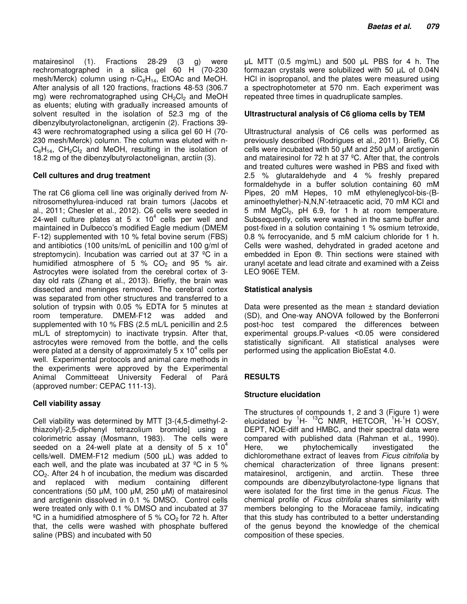matairesinol (1). Fractions 28-29 (3 g) were rechromatographed in a silica gel 60 H (70-230 mesh/Merck) column using n- $C_6H_{14}$ , EtOAc and MeOH. After analysis of all 120 fractions, fractions 48-53 (306.7 mg) were rechromatographed using  $CH_2Cl_2$  and MeOH as eluents; eluting with gradually increased amounts of solvent resulted in the isolation of 52.3 mg of the dibenzylbutyrolactonelignan, arctigenin (2). Fractions 39- 43 were rechromatographed using a silica gel 60 H (70- 230 mesh/Merck) column. The column was eluted with n- $C_6H_{14}$ ,  $CH_2Cl_2$  and MeOH, resulting in the isolation of 18.2 mg of the dibenzylbutyrolactonelignan, arctiin (3).

## **Cell cultures and drug treatment**

The rat C6 glioma cell line was originally derived from Nnitrosomethylurea-induced rat brain tumors (Jacobs et al., 2011; Chesler et al., 2012). C6 cells were seeded in 24-well culture plates at 5  $\times$  10<sup>4</sup> cells per well and maintained in Dulbecco's modified Eagle medium (DMEM F-12) supplemented with 10 % fetal bovine serum (FBS) and antibiotics (100 units/mL of penicillin and 100 g/ml of streptomycin). Incubation was carried out at 37 °C in a humidified atmosphere of 5 %  $CO<sub>2</sub>$  and 95 % air. Astrocytes were isolated from the cerebral cortex of 3 day old rats (Zhang et al., 2013). Briefly, the brain was dissected and meninges removed. The cerebral cortex was separated from other structures and transferred to a solution of trypsin with 0.05 % EDTA for 5 minutes at room temperature. DMEM-F12 was added and supplemented with 10 % FBS (2.5 mL/L penicillin and 2.5 mL/L of streptomycin) to inactivate trypsin. After that, astrocytes were removed from the bottle, and the cells were plated at a density of approximately 5 x 10<sup>4</sup> cells per well. Experimental protocols and animal care methods in the experiments were approved by the Experimental Animal Committeeat University Federal of Pará (approved number: CEPAC 111-13).

# **Cell viability assay**

Cell viability was determined by MTT [3-(4,5-dimethyl-2 thiazolyl)-2,5-diphenyl tetrazolium bromide] using a colorimetric assay (Mosmann, 1983). The cells were seeded on a 24-well plate at a density of 5  $\times$  10<sup>4</sup> cells/well. DMEM-F12 medium (500 µL) was added to each well, and the plate was incubated at 37 ºC in 5 % CO2. After 24 h of incubation, the medium was discarded and replaced with medium containing different concentrations (50 µM, 100 µM, 250 µM) of matairesinol and arctigenin dissolved in 0.1 % DMSO. Control cells were treated only with 0.1 % DMSO and incubated at 37 <sup>o</sup>C in a humidified atmosphere of 5 % CO<sub>2</sub> for 72 h. After that, the cells were washed with phosphate buffered saline (PBS) and incubated with 50

µL MTT (0.5 mg/mL) and 500 µL PBS for 4 h. The formazan crystals were solubilized with 50 µL of 0.04N HCl in isopropanol, and the plates were measured using a spectrophotometer at 570 nm. Each experiment was repeated three times in quadruplicate samples.

## **Ultrastructural analysis of C6 glioma cells by TEM**

Ultrastructural analysis of C6 cells was performed as previously described (Rodrigues et al., 2011). Briefly, C6 cells were incubated with 50 µM and 250 µM of arctigenin and matairesinol for 72 h at 37 ºC. After that, the controls and treated cultures were washed in PBS and fixed with 2.5 % glutaraldehyde and 4 % freshly prepared formaldehyde in a buffer solution containing 60 mM Pipes, 20 mM Hepes, 10 mM ethyleneglycol-bis-(Baminoethylether)-N,N,N'-tetraacetic acid, 70 mM KCl and 5 mM  $MgCl<sub>2</sub>$ , pH 6.9, for 1 h at room temperature. Subsequently, cells were washed in the same buffer and post-fixed in a solution containing 1 % osmium tetroxide, 0.8 % ferrocyanide, and 5 mM calcium chloride for 1 h. Cells were washed, dehydrated in graded acetone and embedded in Epon ®. Thin sections were stained with uranyl acetate and lead citrate and examined with a Zeiss LEO 906E TEM.

# **Statistical analysis**

Data were presented as the mean  $\pm$  standard deviation (SD), and One-way ANOVA followed by the Bonferroni post-hoc test compared the differences between experimental groups.P-values ˂0.05 were considered statistically significant. All statistical analyses were performed using the application BioEstat 4.0.

# **RESULTS**

# **Structure elucidation**

The structures of compounds 1, 2 and 3 (Figure 1) were elucidated by  ${}^{1}H-{}^{13}C$  NMR, HETCOR,  ${}^{1}H-{}^{1}H$  COSY, DEPT, NOE-diff and HMBC, and their spectral data were compared with published data (Rahman et al., 1990). Here, we phytochemically investigated the dichloromethane extract of leaves from Ficus citrifolia by chemical characterization of three lignans present: matairesinol, arctigenin, and arctiin. These three compounds are dibenzylbutyrolactone-type lignans that were isolated for the first time in the genus Ficus. The chemical profile of Ficus citrifolia shares similarity with members belonging to the Moraceae family, indicating that this study has contributed to a better understanding of the genus beyond the knowledge of the chemical composition of these species.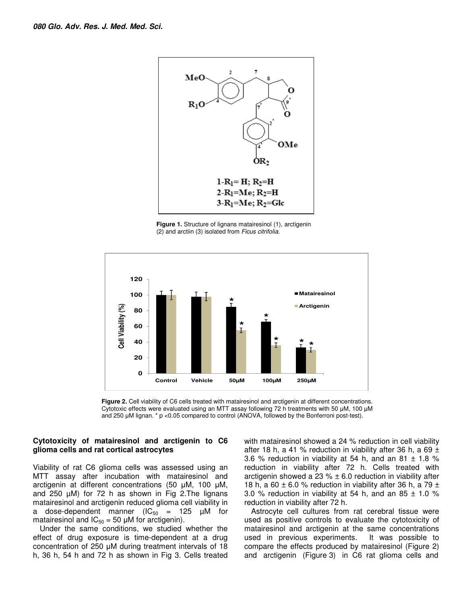

**Figure 1.** Structure of lignans matairesinol (1), arctigenin (2) and arctiin (3) isolated from Ficus citrifolia.



**Figure 2.** Cell viability of C6 cells treated with matairesinol and arctigenin at different concentrations. Cytotoxic effects were evaluated using an MTT assay following 72 h treatments with 50 µM, 100 µM and 250 µM lignan. \* p <0.05 compared to control (ANOVA, followed by the Bonferroni post-test).

#### **Cytotoxicity of matairesinol and arctigenin to C6 glioma cells and rat cortical astrocytes**

Viability of rat C6 glioma cells was assessed using an MTT assay after incubation with matairesinol and arctigenin at different concentrations (50 µM, 100 µM, and 250  $\mu$ M) for 72 h as shown in Fig 2. The lignans matairesinol and arctigenin reduced glioma cell viability in a dose-dependent manner ( $IC_{50}$  = 125  $µ$ M for matairesinol and  $IC_{50} = 50 \mu M$  for arctigenin).

Under the same conditions, we studied whether the effect of drug exposure is time-dependent at a drug concentration of 250 µM during treatment intervals of 18 h, 36 h, 54 h and 72 h as shown in Fig 3. Cells treated with matairesinol showed a 24 % reduction in cell viability after 18 h, a 41 % reduction in viability after 36 h, a 69  $\pm$ 3.6 % reduction in viability at 54 h, and an 81  $\pm$  1.8 % reduction in viability after 72 h. Cells treated with arctigenin showed a 23  $%$   $\pm$  6.0 reduction in viability after 18 h, a 60  $\pm$  6.0 % reduction in viability after 36 h, a 79  $\pm$ 3.0 % reduction in viability at 54 h, and an 85  $\pm$  1.0 % reduction in viability after 72 h.

Astrocyte cell cultures from rat cerebral tissue were used as positive controls to evaluate the cytotoxicity of matairesinol and arctigenin at the same concentrations used in previous experiments. It was possible to compare the effects produced by matairesinol (Figure 2) and arctigenin (Figure 3) in C6 rat glioma cells and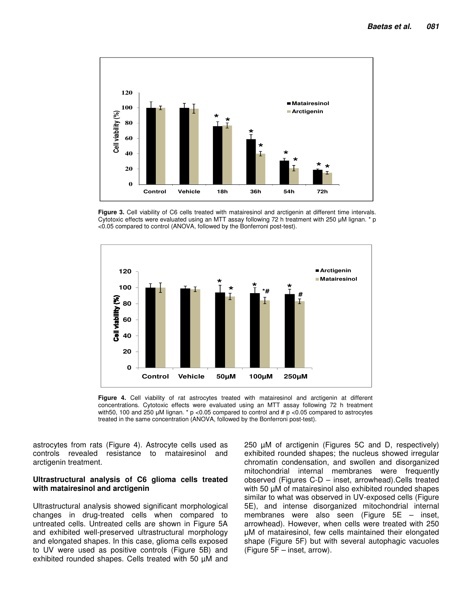

**Figure 3.** Cell viability of C6 cells treated with matairesinol and arctigenin at different time intervals. Cytotoxic effects were evaluated using an MTT assay following 72 h treatment with 250 µM lignan. \* p <0.05 compared to control (ANOVA, followed by the Bonferroni post-test).



**Figure 4.** Cell viability of rat astrocytes treated with matairesinol and arctigenin at different concentrations. Cytotoxic effects were evaluated using an MTT assay following 72 h treatment with 50, 100 and 250 µM lignan.  $*$  p <0.05 compared to control and # p <0.05 compared to astrocytes treated in the same concentration (ANOVA, followed by the Bonferroni post-test).

astrocytes from rats (Figure 4). Astrocyte cells used as controls revealed resistance to matairesinol and arctigenin treatment.

#### **Ultrastructural analysis of C6 glioma cells treated with matairesinol and arctigenin**

Ultrastructural analysis showed significant morphological changes in drug-treated cells when compared to untreated cells. Untreated cells are shown in Figure 5A and exhibited well-preserved ultrastructural morphology and elongated shapes. In this case, glioma cells exposed to UV were used as positive controls (Figure 5B) and exhibited rounded shapes. Cells treated with 50 µM and

250 µM of arctigenin (Figures 5C and D, respectively) exhibited rounded shapes; the nucleus showed irregular chromatin condensation, and swollen and disorganized mitochondrial internal membranes were frequently observed (Figures C-D – inset, arrowhead).Cells treated with 50  $\mu$ M of matairesinol also exhibited rounded shapes similar to what was observed in UV-exposed cells (Figure 5E), and intense disorganized mitochondrial internal membranes were also seen (Figure 5E – inset, arrowhead). However, when cells were treated with 250 µM of matairesinol, few cells maintained their elongated shape (Figure 5F) but with several autophagic vacuoles (Figure 5F – inset, arrow).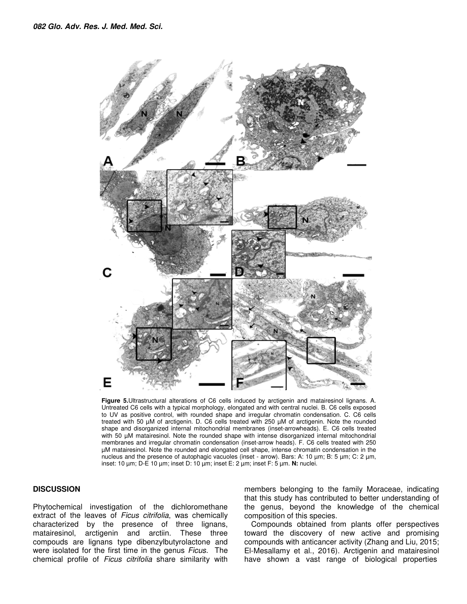

**Figure 5.**Ultrastructural alterations of C6 cells induced by arctigenin and matairesinol lignans. A. Untreated C6 cells with a typical morphology, elongated and with central nuclei. B. C6 cells exposed to UV as positive control, with rounded shape and irregular chromatin condensation. C. C6 cells treated with 50 µM of arctigenin. D. C6 cells treated with 250 µM of arctigenin. Note the rounded shape and disorganized internal mitochondrial membranes (inset-arrowheads). E. C6 cells treated with 50  $\mu$ M matairesinol. Note the rounded shape with intense disorganized internal mitochondrial membranes and irregular chromatin condensation (inset-arrow heads). F. C6 cells treated with 250 µM matairesinol. Note the rounded and elongated cell shape, intense chromatin condensation in the nucleus and the presence of autophagic vacuoles (inset - arrow). Bars: A: 10 µm; B: 5 µm; C: 2 µm, inset: 10 µm; D-E 10 µm; inset D: 10 µm; inset E: 2 µm; inset F: 5 µm. **N:** nuclei.

#### **DISCUSSION**

Phytochemical investigation of the dichloromethane extract of the leaves of Ficus citrifolia, was chemically characterized by the presence of three lignans, matairesinol, arctigenin and arctiin. These three compouds are lignans type dibenzylbutyrolactone and were isolated for the first time in the genus Ficus. The chemical profile of Ficus citrifolia share similarity with members belonging to the family Moraceae, indicating that this study has contributed to better understanding of the genus, beyond the knowledge of the chemical composition of this species.

Compounds obtained from plants offer perspectives toward the discovery of new active and promising compounds with anticancer activity (Zhang and Liu, 2015; El-Mesallamy et al., 2016). Arctigenin and matairesinol have shown a vast range of biological properties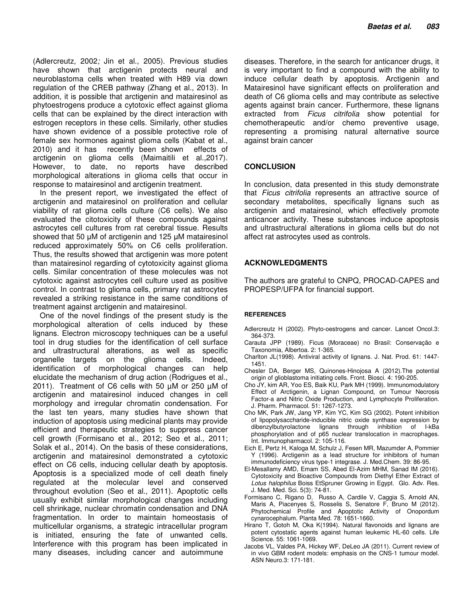(Adlercreutz, 2002; Jin et al., 2005). Previous studies have shown that arctigenin protects neural and neuroblastoma cells when treated with H89 via down regulation of the CREB pathway (Zhang et al., 2013). In addition, it is possible that arctigenin and matairesinol as phytoestrogens produce a cytotoxic effect against glioma cells that can be explained by the direct interaction with estrogen receptors in these cells. Similarly, other studies have shown evidence of a possible protective role of female sex hormones against glioma cells (Kabat et al., 2010) and it has recently been shown effects of arctigenin on glioma cells (Maimaitili et al.,2017). However, to date, no reports have described morphological alterations in glioma cells that occur in response to matairesinol and arctigenin treatment.

In the present report, we investigated the effect of arctigenin and matairesinol on proliferation and cellular viability of rat glioma cells culture (C6 cells). We also evaluated the citotoxicity of these compounds against astrocytes cell cultures from rat cerebral tissue. Results showed that 50 µM of arctigenin and 125 µM matairesinol reduced approximately 50% on C6 cells proliferation. Thus, the results showed that arctigenin was more potent than matairesinol regarding of cytotoxicity against glioma cells. Similar concentration of these molecules was not cytotoxic against astrocytes cell culture used as positive control. In contrast to glioma cells, primary rat astrocytes revealed a striking resistance in the same conditions of treatment against arctigenin and matairesinol.

One of the novel findings of the present study is the morphological alteration of cells induced by these lignans. Electron microscopy techniques can be a useful tool in drug studies for the identification of cell surface and ultrastructural alterations, as well as specific organelle targets on the glioma cells. Indeed, identification of morphological changes can help elucidate the mechanism of drug action (Rodrigues et al., 2011). Treatment of C6 cells with 50 µM or 250 µM of arctigenin and matairesinol induced changes in cell morphology and irregular chromatin condensation. For the last ten years, many studies have shown that induction of apoptosis using medicinal plants may provide efficient and therapeutic strategies to suppress cancer cell growth (Formisano et al., 2012; Seo et al., 2011; Solak et al., 2014). On the basis of these considerations, arctigenin and matairesinol demonstrated a cytotoxic effect on C6 cells, inducing cellular death by apoptosis. Apoptosis is a specialized mode of cell death finely regulated at the molecular level and conserved throughout evolution (Seo et al., 2011). Apoptotic cells usually exhibit similar morphological changes including cell shrinkage, nuclear chromatin condensation and DNA fragmentation. In order to maintain homeostasis of multicellular organisms, a strategic intracellular program is initiated, ensuring the fate of unwanted cells. Interference with this program has been implicated in many diseases, including cancer and autoimmune

diseases. Therefore, in the search for anticancer drugs, it is very important to find a compound with the ability to induce cellular death by apoptosis. Arctigenin and Matairesinol have significant effects on proliferation and death of C6 glioma cells and may contribute as selective agents against brain cancer. Furthermore, these lignans extracted from *Ficus citrifolia* show potential for chemotherapeutic and/or chemo preventive usage, representing a promising natural alternative source against brain cancer

#### **CONCLUSION**

In conclusion, data presented in this study demonstrate that Ficus citrifolia represents an attractive source of secondary metabolites, specifically lignans such as arctigenin and matairesinol, which effectively promote anticancer activity. These substances induce apoptosis and ultrastructural alterations in glioma cells but do not affect rat astrocytes used as controls.

#### **ACKNOWLEDGMENTS**

The authors are grateful to CNPQ, PROCAD-CAPES and PROPESP/UFPA for financial support.

#### **REFERENCES**

- Adlercreutz H (2002). Phyto-oestrogens and cancer. Lancet Oncol.3: 364-373.
- Carauta JPP (1989). Ficus (Moraceae) no Brasil: Conservação e Taxonomia, Albertoa. 2: 1-365.
- Charlton JL(1998). Antiviral activity of lignans. J. Nat. Prod. 61: 1447- 1451.
- Chesler DA, Berger MS, Quinones-Hinojosa A (2012).The potential origin of glioblastoma initiating cells. Front. Biosci. 4: 190-205.
- Cho JY, kim AR, Yoo ES, Baik KU, Park MH (1999). Immunomodulatory Effect of Arctigenin, a Lignan Compound, on Tumour Necrosis Factor-a and Nitric Oxide Production, and Lymphocyte Proliferation. J. Pharm. Pharmacol. 51: 1267-1273.
- Cho MK, Park JW, Jang YP, Kim YC, Kim SG (2002). Potent inhibition of lipopolysaccharide-inducible nitric oxide synthase expression by dibenzylbutyrolactone lignans through inhibition of I-kBa phosphorylation and of p65 nuclear translocation in macrophages. Int. Immunopharmacol. 2: 105-116.
- Eich E, Pertz H, Kaloga M, Schulz J, Fesen MR, Mazumder A, Pommier Y (1996). Arctigenin as a lead structure for inhibitors of human immunodeficiency virus type-1 integrase. J. Med.Chem. 39: 86-95.
- El-Mesallamy AMD, Emam SS, Abed El-Azim MHM, Sanad IM (2016). Cytotoxicity and Bioactive Compounds from Diethyl Ether Extract of Lotus halophilus Boiss EtSpruner Growing in Egypt. Glo. Adv. Res. J. Med. Med. Sci. 5(3): 74-81.
- Formisano C, Rigano D, Russo A, Cardile V, Caggia S, Arnold AN, Maris A, Piacenyes S, Rosselis S, Senatore F, Bruno M (2012). Phytochemical Profile and Apoptotic Activity of Onopordum cynarocephalum. Planta Med. 78: 1651-1660.
- Hirano T, Gotoh M, Oka K(1994). Natural flavonoids and lignans are potent cytostatic agents against human leukemic HL-60 cells. Life Science. 55: 1061-1069.
- Jacobs VL, Valdes PA, Hickey WF, DeLeo JA (2011). Current review of in vivo GBM rodent models: emphasis on the CNS-1 tumour model. ASN Neuro.3: 171-181.